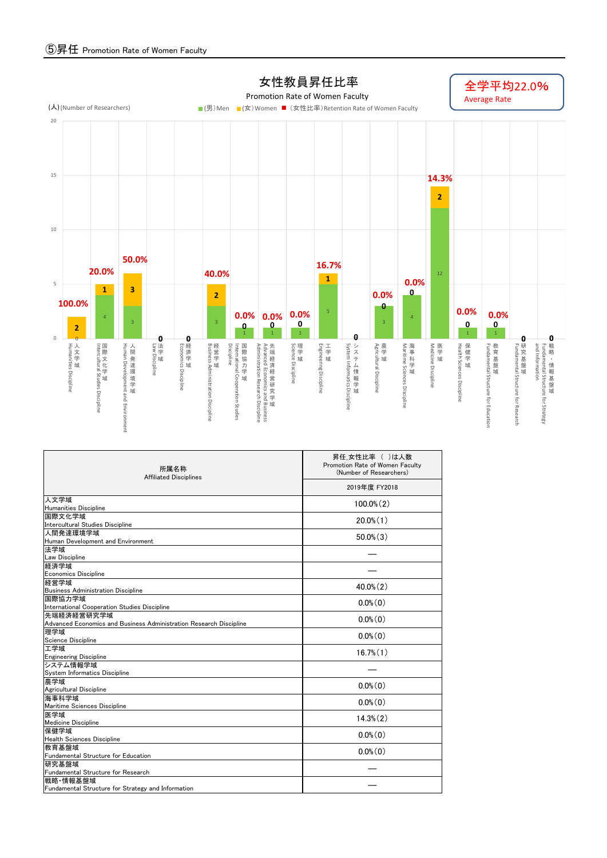

| 所属名称<br><b>Affiliated Disciplines</b>                              | 昇任 女性比率 ( )は人数<br>Promotion Rate of Women Faculty<br>(Number of Researchers) |  |  |  |  |  |
|--------------------------------------------------------------------|------------------------------------------------------------------------------|--|--|--|--|--|
|                                                                    | 2019年度 FY2018                                                                |  |  |  |  |  |
| 人文学域<br>Humanities Discipline                                      | $100.0\%$ $(2)$                                                              |  |  |  |  |  |
| 国際文化学域                                                             |                                                                              |  |  |  |  |  |
| Intercultural Studies Discipline                                   | $20.0\%$ $(1)$                                                               |  |  |  |  |  |
| 人間発達環境学域                                                           |                                                                              |  |  |  |  |  |
| Human Development and Environment                                  | $50.0\%$ $(3)$                                                               |  |  |  |  |  |
| 法学域                                                                |                                                                              |  |  |  |  |  |
| Law Discipline                                                     |                                                                              |  |  |  |  |  |
| 経済学域                                                               |                                                                              |  |  |  |  |  |
| <b>Economics Discipline</b>                                        |                                                                              |  |  |  |  |  |
| 経営学域                                                               | $40.0\%$ $(2)$                                                               |  |  |  |  |  |
| <b>Business Administration Discipline</b>                          |                                                                              |  |  |  |  |  |
| 国際協力学域<br>International Cooperation Studies Discipline             | $0.0\%$ $(0)$                                                                |  |  |  |  |  |
| 先端経済経営研究学域                                                         |                                                                              |  |  |  |  |  |
| Advanced Economics and Business Administration Research Discipline | $0.0\%$ $(0)$                                                                |  |  |  |  |  |
| 理学域                                                                |                                                                              |  |  |  |  |  |
| Science Discipline                                                 | $0.0\%$ (0)                                                                  |  |  |  |  |  |
| 工学域                                                                | $16.7\%$ $(1)$                                                               |  |  |  |  |  |
| <b>Engineering Discipline</b>                                      |                                                                              |  |  |  |  |  |
| システム情報学域                                                           |                                                                              |  |  |  |  |  |
| System Informatics Discipline                                      |                                                                              |  |  |  |  |  |
| 農学域                                                                | $0.0\%$ $(0)$                                                                |  |  |  |  |  |
| Agricultural Discipline<br>海事科学域                                   |                                                                              |  |  |  |  |  |
| Maritime Sciences Discipline                                       | $0.0\%$ (0)                                                                  |  |  |  |  |  |
| 医学域                                                                |                                                                              |  |  |  |  |  |
| <b>Medicine Discipline</b>                                         | $14.3\%$ $(2)$                                                               |  |  |  |  |  |
| 保健学域                                                               |                                                                              |  |  |  |  |  |
| Health Sciences Discipline                                         | $0.0\%$ $(0)$                                                                |  |  |  |  |  |
| 教育基盤域                                                              | $0.0\%$ $(0)$                                                                |  |  |  |  |  |
| Fundamental Structure for Education                                |                                                                              |  |  |  |  |  |
| 研究基盤域                                                              |                                                                              |  |  |  |  |  |
| Fundamental Structure for Research                                 |                                                                              |  |  |  |  |  |
| 戦略 情報基盤域                                                           |                                                                              |  |  |  |  |  |
| Fundamental Structure for Strategy and Information                 |                                                                              |  |  |  |  |  |